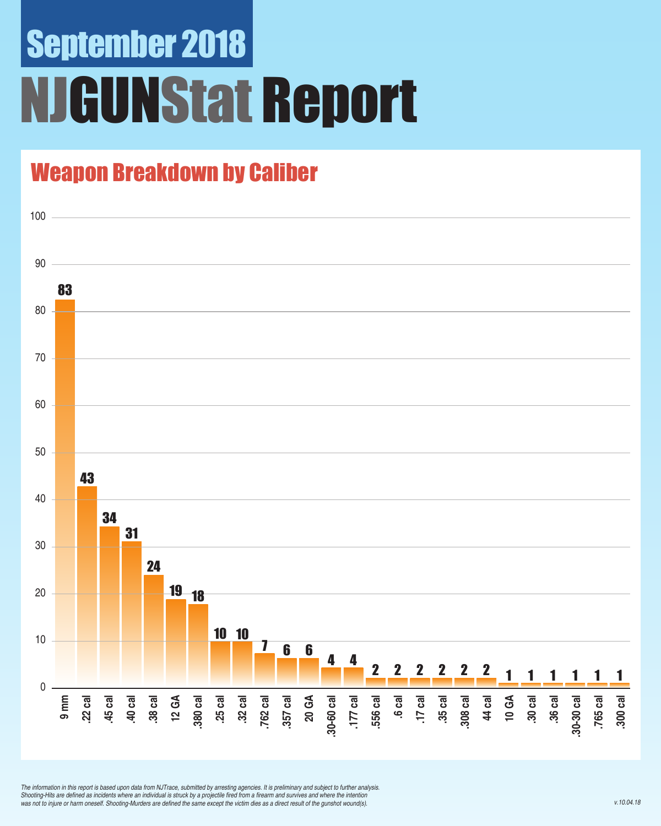# September 2018 **GUNStat Report**

### Weapon Breakdown by Caliber



*The information in this report is based upon data from NJTrace, submitted by arresting agencies. It is preliminary and subject to further analysis.*  Shooting-Hits are defined as incidents where an individual is struck by a projectile fired from a firearm and survives and where the intention was not to injure or harm oneself. Shooting-Murders are defined the same except the victim dies as a direct result of the gunshot wound(s).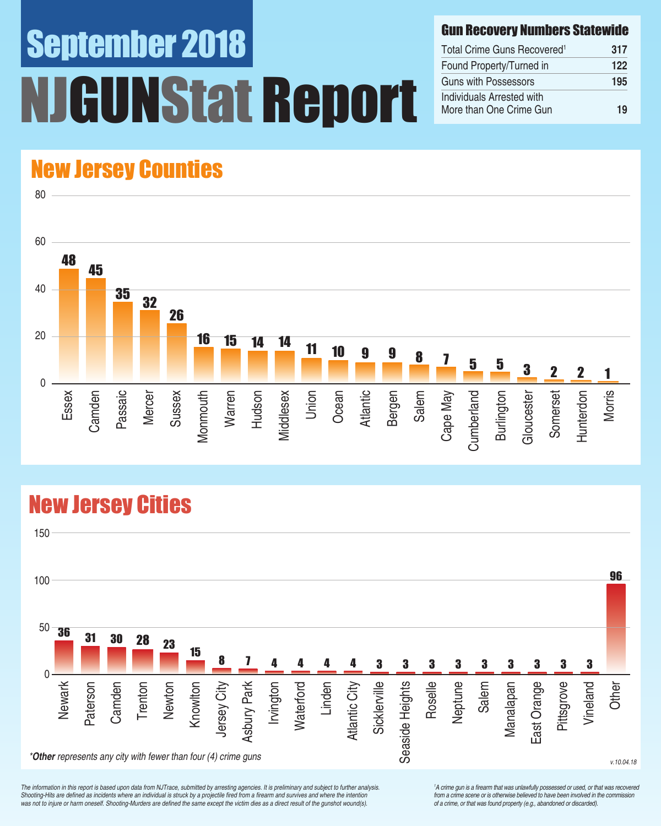# September 2018 UNStat Report

#### Gun Recovery Numbers Statewide

| Total Crime Guns Recovered <sup>1</sup>              | 317 |
|------------------------------------------------------|-----|
| Found Property/Turned in                             | 122 |
| Guns with Possessors                                 | 195 |
| Individuals Arrested with<br>More than One Crime Gun | 19  |

### New Jersey Counties

80



### New Jersey Cities



*The information in this report is based upon data from NJTrace, submitted by arresting agencies. It is preliminary and subject to further analysis.*  Shooting-Hits are defined as incidents where an individual is struck by a projectile fired from a firearm and survives and where the intention was not to injure or harm oneself. Shooting-Murders are defined the same except the victim dies as a direct result of the gunshot wound(s).

<sup>1</sup>A crime gun is a firearm that was unlawfully possessed or used, or that was recovered from a crime scene or is otherwise believed to have been involved in the commission *of a crime, or that was found property (e.g., abandoned or discarded).*